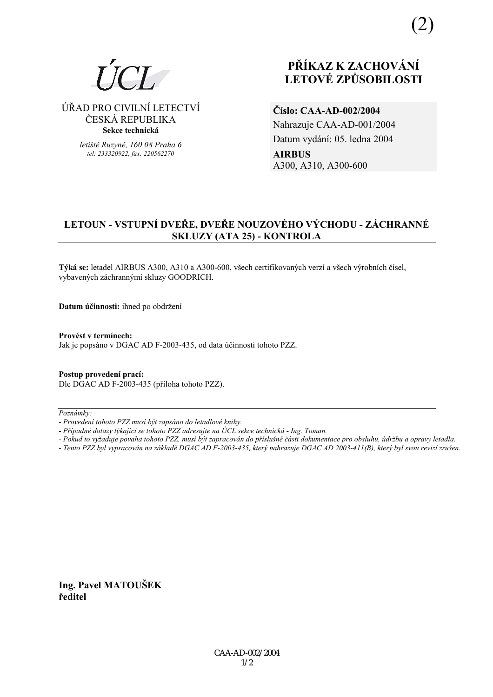# **PŘÍKAZ K ZACHOVÁNÍ LETOV… ZPŮSOBILOSTI**

⁄ŘAD PRO CIVILNÕ LETECTVÕ ČESKÁ REPUBLIKA **Sekce technická** 

> *letiötě Ruzyně, 160 08 Praha 6 tel: 233320922, fax: 220562270*

**ČÌslo: CAA-AD-002/2004**  Nahrazuje CAA-AD-001/2004 Datum vydání: 05. ledna 2004 **AIRBUS**  A300, A310, A300-600

# **LETOUN - VSTUPNÍ DVEŘE, DVEŘE NOUZOVÉHO VÝCHODU - ZÁCHRANNÉ SKLUZY (ATA 25) - KONTROLA**

Týká se: letadel AIRBUS A300, A310 a A300-600, všech certifikovaných verzí a všech výrobních čísel, vybavených záchrannými skluzy GOODRICH.

**Datum účinnosti:** ihned po obdržení

Provést v termínech: Jak je popsáno v DGAC AD F-2003-435, od data účinnosti tohoto PZZ.

**Postup provedenÌ pracÌ:**  Dle DGAC AD F-2003-435 (příloha tohoto PZZ).

 $Poznámky:$ 

*- Tento PZZ byl vypracov·n na z·kladě DGAC AD F-2003-435, kter˝ nahrazuje DGAC AD 2003-411(B), kter˝ byl svou revizÌ zruöen.* 

**Ing. Pavel MATOUäEK ředitel** 

*<sup>-</sup> ProvedenÌ tohoto PZZ musÌ b˝t zaps·no do letadlovÈ knihy.* 

<sup>-</sup> Případné dotazy týkající se tohoto PZZ adresujte na ÚCL sekce technická - Ing. Toman.

*<sup>-</sup> Pokud to vyûaduje povaha tohoto PZZ, musÌ b˝t zapracov·n do přÌsluönÈ č·sti dokumentace pro obsluhu, ˙drûbu a opravy letadla.*